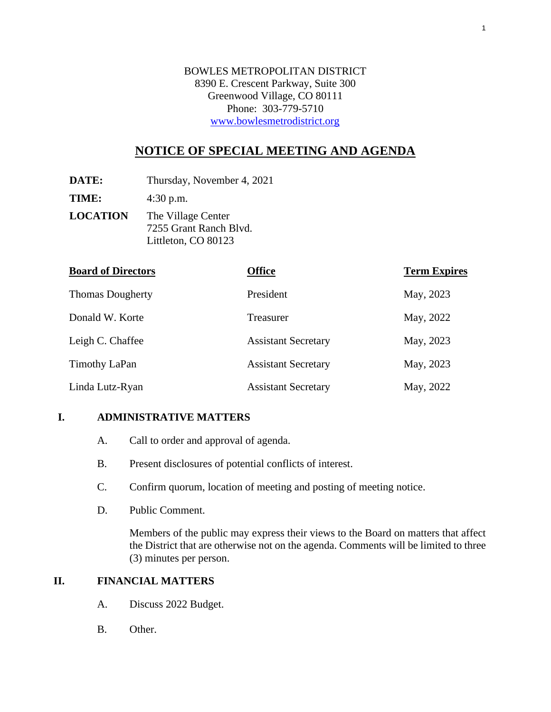BOWLES METROPOLITAN DISTRICT 8390 E. Crescent Parkway, Suite 300 Greenwood Village, CO 80111 Phone: 303-779-5710 www.bowlesmetrodistrict.org

# **NOTICE OF SPECIAL MEETING AND AGENDA**

**DATE:** Thursday, November 4, 2021

**TIME:** 4:30 p.m.

**LOCATION** The Village Center 7255 Grant Ranch Blvd. Littleton, CO 80123

| <b>Board of Directors</b> | <b>Office</b>              | <b>Term Expires</b> |
|---------------------------|----------------------------|---------------------|
| <b>Thomas Dougherty</b>   | President                  | May, 2023           |
| Donald W. Korte           | Treasurer                  | May, 2022           |
| Leigh C. Chaffee          | <b>Assistant Secretary</b> | May, 2023           |
| <b>Timothy LaPan</b>      | <b>Assistant Secretary</b> | May, 2023           |
| Linda Lutz-Ryan           | <b>Assistant Secretary</b> | May, 2022           |

### **I. ADMINISTRATIVE MATTERS**

- A. Call to order and approval of agenda.
- B. Present disclosures of potential conflicts of interest.
- C. Confirm quorum, location of meeting and posting of meeting notice.
- D. Public Comment.

Members of the public may express their views to the Board on matters that affect the District that are otherwise not on the agenda. Comments will be limited to three (3) minutes per person.

## **II. FINANCIAL MATTERS**

- A. Discuss 2022 Budget.
- B. Other.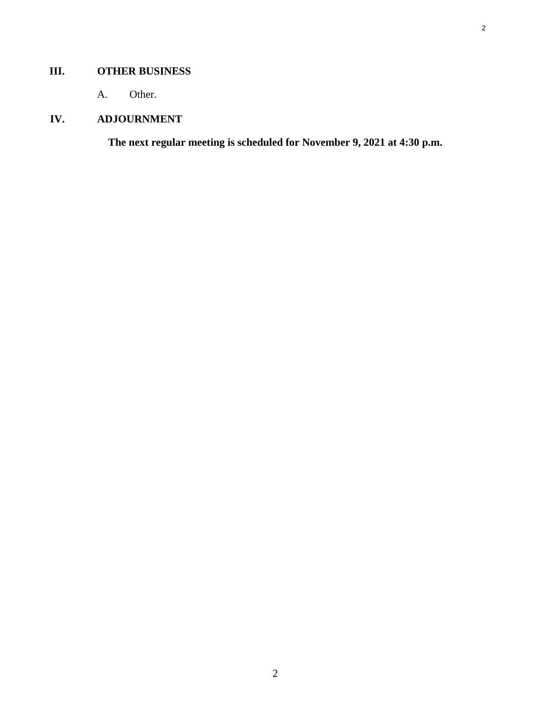## **III. OTHER BUSINESS**

A. Other.

# **IV. ADJOURNMENT**

**The next regular meeting is scheduled for November 9, 2021 at 4:30 p.m.**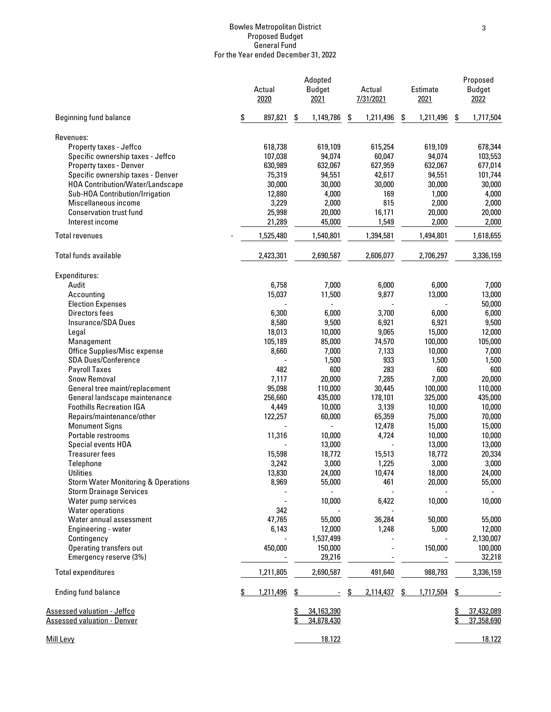#### Bowles Metropolitan District Proposed Budget General Fund For the Year ended December 31, 2022

|                                                                                  | Actual<br>2020 | Adopted<br><b>Budget</b><br>2021 | Actual<br>7/31/2021 | Estimate<br>2021 | Proposed<br><b>Budget</b><br>2022 |
|----------------------------------------------------------------------------------|----------------|----------------------------------|---------------------|------------------|-----------------------------------|
| <b>Beginning fund balance</b>                                                    | \$<br>897,821  | \$<br>1,149,786                  | \$<br>1,211,496     | \$<br>1,211,496  | \$<br>1,717,504                   |
| Revenues:                                                                        |                |                                  |                     |                  |                                   |
| Property taxes - Jeffco                                                          | 618,738        | 619,109                          | 615,254             | 619,109          | 678,344                           |
| Specific ownership taxes - Jeffco                                                | 107,038        | 94,074                           | 60,047              | 94,074           | 103,553                           |
| Property taxes - Denver                                                          | 630,989        | 632,067                          | 627,959             | 632,067          | 677,014                           |
| Specific ownership taxes - Denver                                                | 75,319         | 94,551                           | 42,617              | 94,551           | 101,744                           |
| <b>HOA Contribution/Water/Landscape</b>                                          | 30,000         | 30,000                           | 30,000              | 30,000           | 30,000                            |
| Sub-HOA Contribution/Irrigation                                                  | 12,880         | 4,000                            | 169                 | 1,000            | 4,000                             |
| Miscellaneous income                                                             | 3,229          | 2,000                            | 815                 | 2,000            | 2,000                             |
| <b>Conservation trust fund</b>                                                   | 25,998         | 20,000                           | 16,171              | 20,000           | 20,000                            |
| Interest income                                                                  | 21,289         | 45,000                           | 1,549               | 2,000            | 2,000                             |
| <b>Total revenues</b>                                                            | 1,525,480      | 1,540,801                        | 1,394,581           | 1,494,801        | 1,618,655                         |
| Total funds available                                                            | 2,423,301      | 2,690,587                        | 2,606,077           | 2,706,297        | 3,336,159                         |
|                                                                                  |                |                                  |                     |                  |                                   |
| Expenditures:                                                                    |                |                                  |                     |                  |                                   |
| Audit                                                                            | 6,758          | 7,000                            | 6,000               | 6,000            | 7,000                             |
| Accounting                                                                       | 15,037         | 11,500                           | 9,877               | 13,000           | 13,000                            |
| <b>Election Expenses</b>                                                         |                | ÷.                               |                     |                  | 50,000                            |
| Directors fees                                                                   | 6,300          | 6,000                            | 3,700               | 6,000            | 6,000                             |
| Insurance/SDA Dues                                                               | 8,580          | 9,500                            | 6,921               | 6,921            | 9,500                             |
| Legal                                                                            | 18,013         | 10,000                           | 9,065               | 15,000           | 12,000                            |
| Management                                                                       | 105,189        | 85,000                           | 74,570              | 100,000          | 105,000                           |
| Office Supplies/Misc expense                                                     | 8,660          | 7,000                            | 7,133               | 10,000           | 7,000                             |
| <b>SDA Dues/Conference</b>                                                       |                | 1,500                            | 933                 | 1,500            | 1,500                             |
| <b>Payroll Taxes</b>                                                             | 482            | 600                              | 283                 | 600              | 600                               |
| <b>Snow Removal</b>                                                              | 7,117          | 20,000                           | 7,285               | 7,000            | 20,000                            |
| General tree maint/replacement                                                   | 95,098         | 110,000                          | 30,445              | 100,000          | 110,000                           |
| General landscape maintenance                                                    | 256,660        | 435,000                          | 178,101             | 325,000          | 435,000                           |
| <b>Foothills Recreation IGA</b>                                                  | 4,449          | 10,000                           | 3,139               | 10,000           | 10,000                            |
| Repairs/maintenance/other                                                        | 122,257        | 60,000                           | 65,359              | 75,000           | 70,000                            |
| <b>Monument Signs</b>                                                            |                |                                  | 12,478              | 15,000           | 15,000                            |
|                                                                                  |                |                                  |                     |                  |                                   |
| Portable restrooms                                                               | 11,316         | 10,000                           | 4,724               | 10,000           | 10,000                            |
| Special events HOA                                                               |                | 13,000                           |                     | 13,000           | 13,000                            |
| <b>Treasurer fees</b>                                                            | 15,598         | 18,772                           | 15,513              | 18,772           | 20,334                            |
| Telephone                                                                        | 3,242          | 3,000                            | 1,225               | 3,000            | 3,000                             |
| <b>Utilities</b>                                                                 | 13,830         | 24,000                           | 10,474              | 18,000           | 24,000                            |
| <b>Storm Water Monitoring &amp; Operations</b><br><b>Storm Drainage Services</b> | 8,969          | 55,000<br>$\blacksquare$         | 461                 | 20,000           | 55,000                            |
| Water pump services                                                              |                | 10,000                           | 6,422               | 10,000           | 10,000                            |
| <b>Water operations</b>                                                          | 342            |                                  |                     |                  |                                   |
| Water annual assessment                                                          | 47,765         | 55,000                           | 36,284              | 50,000           | 55,000                            |
| Engineering - water                                                              | 6,143          | 12,000                           | 1,248               | 5,000            | 12,000                            |
| Contingency                                                                      |                | 1,537,499                        |                     |                  | 2,130,007                         |
| Operating transfers out                                                          | 450,000        | 150,000                          |                     | 150,000          | 100,000                           |
| Emergency reserve (3%)                                                           |                | 29,216                           |                     |                  | 32,218                            |
| <b>Total expenditures</b>                                                        | 1,211,805      | 2,690,587                        | 491,640             | 988,793          | 3,336,159                         |
| <b>Ending fund balance</b>                                                       | 1,211,496      |                                  | 2,114,437<br>\$     | 1,717,504<br>\$  | \$                                |
|                                                                                  |                |                                  |                     |                  |                                   |
| <u> Assessed valuation - Jeffco</u>                                              |                | \$<br>34,163,390                 |                     |                  | 37,432,089<br>\$                  |
| <b>Assessed valuation - Denver</b>                                               |                | \$<br>34,878,430                 |                     |                  | 37,358,690<br>\$                  |
| Mill Levy                                                                        |                | 18.122                           |                     |                  | 18.122                            |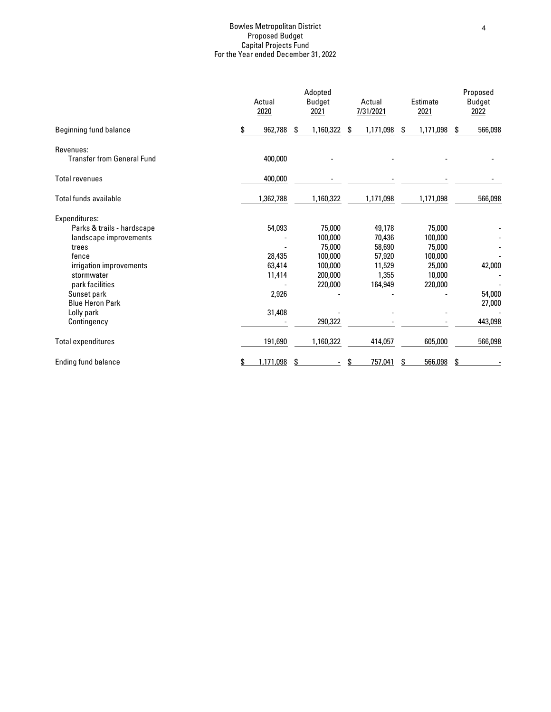### Bowles Metropolitan District Proposed Budget Capital Projects Fund For the Year ended December 31, 2022

|                                                |    | Actual<br>2020 |    | Adopted<br><b>Budget</b><br>2021 |    | Actual<br>7/31/2021 |    | Estimate<br>2021 |    | Proposed<br><b>Budget</b><br>2022 |  |
|------------------------------------------------|----|----------------|----|----------------------------------|----|---------------------|----|------------------|----|-----------------------------------|--|
| <b>Beginning fund balance</b>                  | \$ | 962,788        | \$ | 1,160,322                        | S. | 1,171,098           | S. | 1,171,098        | S. | 566,098                           |  |
| Revenues:<br><b>Transfer from General Fund</b> |    | 400,000        |    |                                  |    |                     |    |                  |    |                                   |  |
| <b>Total revenues</b>                          |    | 400,000        |    |                                  |    |                     |    |                  |    |                                   |  |
| Total funds available                          |    | 1,362,788      |    | 1,160,322                        |    | 1,171,098           |    | 1,171,098        |    | 566,098                           |  |
| Expenditures:                                  |    |                |    |                                  |    |                     |    |                  |    |                                   |  |
| Parks & trails - hardscape                     |    | 54,093         |    | 75,000                           |    | 49,178              |    | 75,000           |    |                                   |  |
| landscape improvements                         |    |                |    | 100,000                          |    | 70,436              |    | 100,000          |    |                                   |  |
| trees                                          |    |                |    | 75,000                           |    | 58,690              |    | 75,000           |    |                                   |  |
| fence                                          |    | 28,435         |    | 100.000                          |    | 57,920              |    | 100,000          |    |                                   |  |
| irrigation improvements                        |    | 63,414         |    | 100,000                          |    | 11,529              |    | 25,000           |    | 42,000                            |  |
| stormwater                                     |    | 11,414         |    | 200,000                          |    | 1,355               |    | 10,000           |    |                                   |  |
| park facilities                                |    |                |    | 220,000                          |    | 164,949             |    | 220,000          |    |                                   |  |
| Sunset park                                    |    | 2,926          |    |                                  |    |                     |    |                  |    | 54,000                            |  |
| <b>Blue Heron Park</b>                         |    |                |    |                                  |    |                     |    |                  |    | 27,000                            |  |
| Lolly park                                     |    | 31,408         |    |                                  |    |                     |    |                  |    |                                   |  |
| Contingency                                    |    |                |    | 290,322                          |    |                     |    |                  |    | 443,098                           |  |
| <b>Total expenditures</b>                      |    | 191,690        |    | 1,160,322                        |    | 414,057             |    | 605,000          |    | 566,098                           |  |
| <b>Ending fund balance</b>                     |    | 1,171,098      | S  |                                  |    | 757,041             | S  | 566,098          |    |                                   |  |